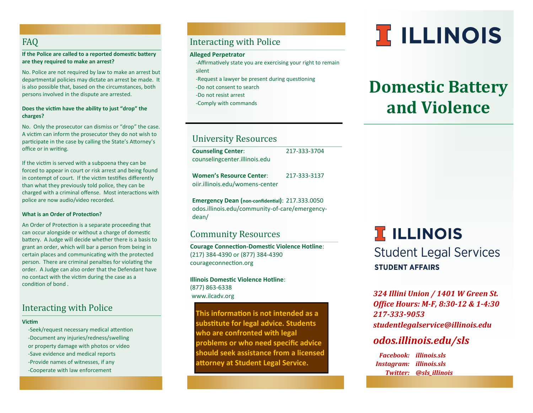# FAQ

**If the Police are called to a reported domestic battery are they required to make an arrest?**

No. Police are not required by law to make an arrest but departmental policies may dictate an arrest be made. It is also possible that, based on the circumstances, both persons involved in the dispute are arrested.

#### **Does the victim have the ability to just "drop" the charges?**

No. Only the prosecutor can dismiss or "drop" the case. A victim can inform the prosecutor they do not wish to participate in the case by calling the State's Attorney's office or in writing.

If the victim is served with a subpoena they can be forced to appear in court or risk arrest and being found in contempt of court. If the victim testifies differently than what they previously told police, they can be charged with a criminal offense. Most interactions with police are now audio/video recorded.

#### **What is an Order of Protection?**

An Order of Protection is a separate proceeding that can occur alongside or without a charge of domestic battery. A Judge will decide whether there is a basis to grant an order, which will bar a person from being in certain places and communicating with the protected person. There are criminal penalties for violating the order. A Judge can also order that the Defendant have no contact with the victim during the case as a condition of bond .

# Interacting with Police

#### **Victim**

-Seek/request necessary medical attention -Document any injuries/redness/swelling or property damage with photos or video -Save evidence and medical reports -Provide names of witnesses, if any -Cooperate with law enforcement

# Interacting with Police

#### **Alleged Perpetrator**

- -Affirmatively state you are exercising your right to remain silent
- 
- -Request a lawyer be present during questioning
- -Do not consent to search
- -Do not resist arrest
- -Comply with commands

# University Resources

| <b>Counseling Center:</b>       | 217-333-3704 |
|---------------------------------|--------------|
| counselingcenter.illinois.edu   |              |
| <b>Women's Resource Center:</b> | 217-333-3137 |
| oiir.illinois.edu/womens-center |              |

**Emergency Dean (non-confidential)**: 217.333.0050 odos.illinois.edu/community-of-care/emergencydean/

## Community Resources

**Courage Connection-Domestic Violence Hotline**: (217) 384-4390 or (877) 384-4390 courageconnection.org

**Illinois Domestic Violence Hotline**: (877) 863-6338 www.ilcadv.org

**This information is not intended as a substitute for legal advice. Students who are confronted with legal problems or who need specific advice should seek assistance from a licensed attorney at Student Legal Service.**

# **T ILLINOIS**

# **Domestic Battery and Violence**

# **T ILLINOIS Student Legal Services STUDENT AFFAIRS**

*324 Illini Union / 1401 W Green St. Office Hours: M-F, 8:30-12 & 1-4:30 217-333-9053 studentlegalservice@illinois.edu*

# *odos.illinois.edu/sls*

 *Facebook: illinois.sls Instagram: illinois.sls Twitter: @sls\_illinois*